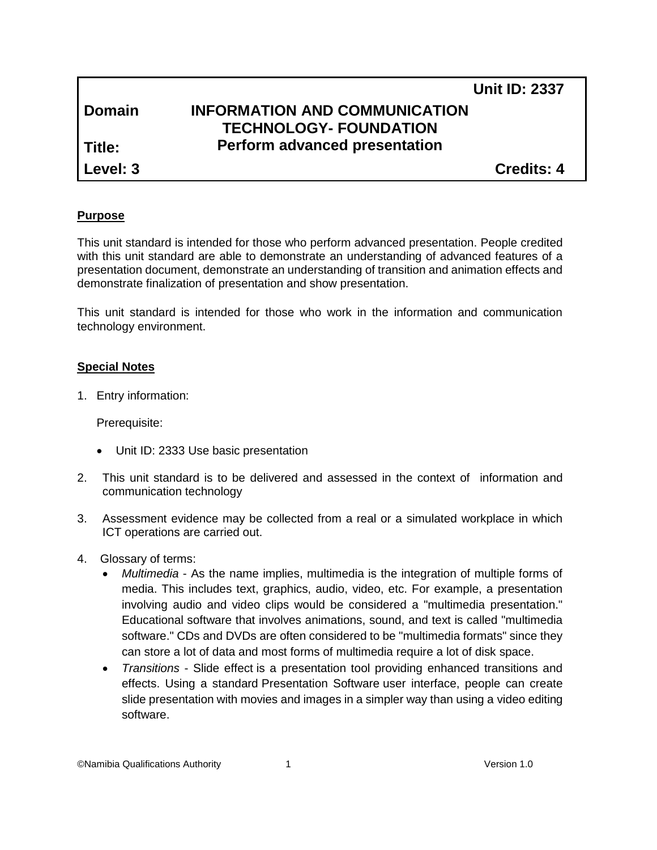|               | <b>Unit ID: 2337</b>                 |
|---------------|--------------------------------------|
| <b>Domain</b> | <b>INFORMATION AND COMMUNICATION</b> |
|               | <b>TECHNOLOGY- FOUNDATION</b>        |
| l Title:      | <b>Perform advanced presentation</b> |
| Level: 3      | <b>Credits: 4</b>                    |

#### **Purpose**

This unit standard is intended for those who perform advanced presentation. People credited with this unit standard are able to demonstrate an understanding of advanced features of a presentation document, demonstrate an understanding of transition and animation effects and demonstrate finalization of presentation and show presentation.

This unit standard is intended for those who work in the information and communication technology environment.

#### **Special Notes**

1. Entry information:

Prerequisite:

- Unit ID: 2333 Use basic presentation
- 2. This unit standard is to be delivered and assessed in the context of information and communication technology
- 3. Assessment evidence may be collected from a real or a simulated workplace in which ICT operations are carried out.
- 4. Glossary of terms:
	- *Multimedia* As the name implies, multimedia is the integration of multiple forms of media. This includes text, graphics, audio, video, etc. For example, a presentation involving audio and video clips would be considered a "multimedia presentation." Educational software that involves animations, sound, and text is called "multimedia software." CDs and DVDs are often considered to be "multimedia formats" since they can store a lot of data and most forms of multimedia require a lot of disk space.
	- *Transitions* Slide effect is a presentation tool providing enhanced transitions and effects. Using a standard [Presentation Software](http://en.wikipedia.org/wiki/Presentation_Software) user interface, people can create slide presentation with movies and images in a simpler way than using a [video editing](http://en.wikipedia.org/wiki/Video_editing_software)  [software.](http://en.wikipedia.org/wiki/Video_editing_software)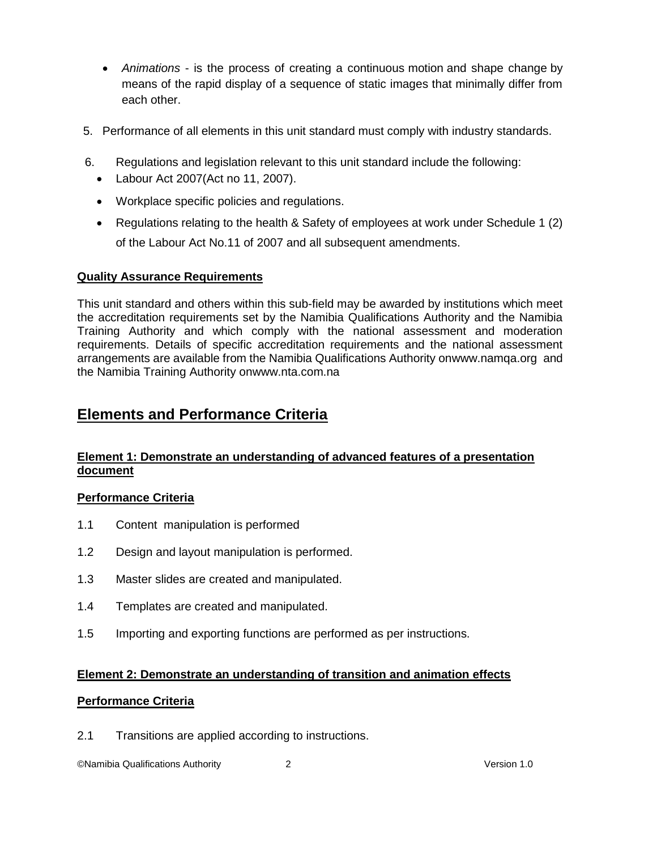- *Animations* is the process of creating a continuous [motion](http://en.wikipedia.org/wiki/Motion_(physics)) and shape change by means of the rapid display of a sequence of static images that minimally differ from each other.
- 5. Performance of all elements in this unit standard must comply with industry standards.
- 6. Regulations and legislation relevant to this unit standard include the following:
	- Labour Act 2007(Act no 11, 2007).
	- Workplace specific policies and regulations.
	- Regulations relating to the health & Safety of employees at work under Schedule 1 (2) of the Labour Act No.11 of 2007 and all subsequent amendments.

# **Quality Assurance Requirements**

This unit standard and others within this sub-field may be awarded by institutions which meet the accreditation requirements set by the Namibia Qualifications Authority and the Namibia Training Authority and which comply with the national assessment and moderation requirements. Details of specific accreditation requirements and the national assessment arrangements are available from the Namibia Qualifications Authority o[nwww.namqa.org](http://www.namqa.org/) and the Namibia Training Authority o[nwww.nta.com.na](http://www.nta.com.na/)

# **Elements and Performance Criteria**

# **Element 1: Demonstrate an understanding of advanced features of a presentation document**

#### **Performance Criteria**

- 1.1 Content manipulation is performed
- 1.2 Design and layout manipulation is performed.
- 1.3 Master slides are created and manipulated.
- 1.4 Templates are created and manipulated.
- 1.5 Importing and exporting functions are performed as per instructions.

#### **Element 2: Demonstrate an understanding of transition and animation effects**

# **Performance Criteria**

2.1 Transitions are applied according to instructions.

©Namibia Qualifications Authority 2 Version 1.0